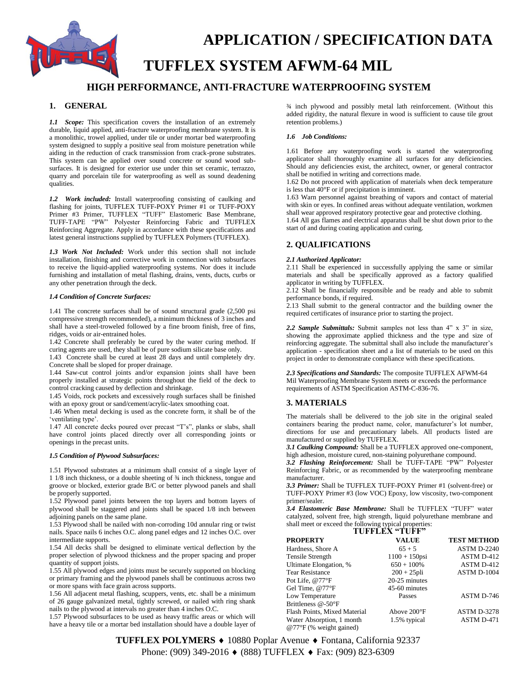

# **APPLICATION / SPECIFICATION DATA TUFFLEX SYSTEM AFWM-64 MIL**

# **HIGH PERFORMANCE, ANTI-FRACTURE WATERPROOFING SYSTEM**

# **1. GENERAL**

*1.1 Scope:* This specification covers the installation of an extremely durable, liquid applied, anti-fracture waterproofing membrane system. It is a monolithic, trowel applied, under tile or under mortar bed waterproofing system designed to supply a positive seal from moisture penetration while aiding in the reduction of crack transmission from crack-prone substrates. This system can be applied over sound concrete or sound wood subsurfaces. It is designed for exterior use under thin set ceramic, terrazzo, quarry and porcelain tile for waterproofing as well as sound deadening qualities.

*1.2 Work included:* Install waterproofing consisting of caulking and flashing for joints, TUFFLEX TUFF-POXY Primer #1 or TUFF-POXY Primer #3 Primer, TUFFLEX "TUFF" Elastomeric Base Membrane, TUFF-TAPE "PW" Polyester Reinforcing Fabric and TUFFLEX Reinforcing Aggregate. Apply in accordance with these specifications and latest general instructions supplied by TUFFLEX Polymers (TUFFLEX).

*1.3 Work Not Included:* Work under this section shall not include installation, finishing and corrective work in connection with subsurfaces to receive the liquid-applied waterproofing systems. Nor does it include furnishing and installation of metal flashing, drains, vents, ducts, curbs or any other penetration through the deck.

#### *1.4 Condition of Concrete Surfaces:*

1.41 The concrete surfaces shall be of sound structural grade (2,500 psi compressive strength recommended), a minimum thickness of 3 inches and shall have a steel-troweled followed by a fine broom finish, free of fins, ridges, voids or air-entrained holes.

1.42 Concrete shall preferably be cured by the water curing method. If curing agents are used, they shall be of pure sodium silicate base only.

1.43 Concrete shall be cured at least 28 days and until completely dry. Concrete shall be sloped for proper drainage.

1.44 Saw-cut control joints and/or expansion joints shall have been properly installed at strategic points throughout the field of the deck to control cracking caused by deflection and shrinkage.

1.45 Voids, rock pockets and excessively rough surfaces shall be finished with an epoxy grout or sand/cement/acrylic-latex smoothing coat.

1.46 When metal decking is used as the concrete form, it shall be of the 'ventilating type'.

1.47 All concrete decks poured over precast "T's", planks or slabs, shall have control joints placed directly over all corresponding joints or openings in the precast units.

#### *1.5 Condition of Plywood Subsurfaces:*

1.51 Plywood substrates at a minimum shall consist of a single layer of 1 1/8 inch thickness, or a double sheeting of ¾ inch thickness, tongue and groove or blocked, exterior grade B/C or better plywood panels and shall be properly supported.

1.52 Plywood panel joints between the top layers and bottom layers of plywood shall be staggered and joints shall be spaced 1/8 inch between adjoining panels on the same plane.

1.53 Plywood shall be nailed with non-corroding 10d annular ring or twist nails. Space nails 6 inches O.C. along panel edges and 12 inches O.C. over intermediate supports.

1.54 All decks shall be designed to eliminate vertical deflection by the proper selection of plywood thickness and the proper spacing and proper quantity of support joists.

1.55 All plywood edges and joints must be securely supported on blocking or primary framing and the plywood panels shall be continuous across two or more spans with face grain across supports.

1.56 All adjacent metal flashing, scuppers, vents, etc. shall be a minimum of 26 gauge galvanized metal, tightly screwed, or nailed with ring shank nails to the plywood at intervals no greater than 4 inches O.C.

1.57 Plywood subsurfaces to be used as heavy traffic areas or which will have a heavy tile or a mortar bed installation should have a double layer of ¾ inch plywood and possibly metal lath reinforcement. (Without this added rigidity, the natural flexure in wood is sufficient to cause tile grout retention problems.)

#### *1.6 Job Conditions:*

1.61 Before any waterproofing work is started the waterproofing applicator shall thoroughly examine all surfaces for any deficiencies. Should any deficiencies exist, the architect, owner, or general contractor shall be notified in writing and corrections made.

1.62 Do not proceed with application of materials when deck temperature is less that 40°F or if precipitation is imminent.

1.63 Warn personnel against breathing of vapors and contact of material with skin or eyes. In confined areas without adequate ventilation, workmen shall wear approved respiratory protective gear and protective clothing.

1.64 All gas flames and electrical apparatus shall be shut down prior to the start of and during coating application and curing.

# **2. QUALIFICATIONS**

#### *2.1 Authorized Applicator:*

2.11 Shall be experienced in successfully applying the same or similar materials and shall be specifically approved as a factory qualified applicator in writing by TUFFLEX.

2.12 Shall be financially responsible and be ready and able to submit performance bonds, if required.

2.13 Shall submit to the general contractor and the building owner the required certificates of insurance prior to starting the project.

*2.2 Sample Submittals:* Submit samples not less than 4" x 3" in size, showing the approximate applied thickness and the type and size of reinforcing aggregate. The submittal shall also include the manufacturer's application - specification sheet and a list of materials to be used on this project in order to demonstrate compliance with these specifications.

*2.3 Specifications and Standards:* The composite TUFFLEX AFWM-64 Mil Waterproofing Membrane System meets or exceeds the performance requirements of ASTM Specification ASTM-C-836-76.

# **3. MATERIALS**

The materials shall be delivered to the job site in the original sealed containers bearing the product name, color, manufacturer's lot number, directions for use and precautionary labels. All products listed are manufactured or supplied by TUFFLEX.

*3.1 Caulking Compound:* Shall be a TUFFLEX approved one-component, high adhesion, moisture cured, non-staining polyurethane compound.

*3.2 Flashing Reinforcement:* Shall be TUFF-TAPE "PW" Polyester Reinforcing Fabric, or as recommended by the waterproofing membrane manufacturer.

*3.3 Primer:* Shall be TUFFLEX TUFF-POXY Primer #1 (solvent-free) or TUFF-POXY Primer #3 (low VOC) Epoxy, low viscosity, two-component primer/sealer.

*3.4 Elastomeric Base Membrane:* Shall be TUFFLEX "TUFF" water catalyzed, solvent free, high strength, liquid polyurethane membrane and shall meet or exceed the following typical properties:

| TUFFLEX "TUFF" |  |
|----------------|--|
|                |  |
|                |  |
|                |  |

| <b>PROPERTY</b>                  | <b>VALUE</b>          | <b>TEST METHOD</b> |  |
|----------------------------------|-----------------------|--------------------|--|
| Hardness, Shore A                | $65 + 5$              | <b>ASTM D-2240</b> |  |
| Tensile Strength                 | $1100 + 150$ psi      | ASTM D-412         |  |
| Ultimate Elongation, %           | $650 + 100\%$         | ASTM D-412         |  |
| <b>Tear Resistance</b>           | $200 + 25$ pli        | ASTM D-1004        |  |
| Pot Life, @77°F                  | 20-25 minutes         |                    |  |
| Gel Time, @77°F                  | 45-60 minutes         |                    |  |
| Low Temperature                  | Passes                | ASTM D-746         |  |
| Brittleness @-50°F               |                       |                    |  |
| Flash Points, Mixed Material     | Above $200^{\circ}$ F | <b>ASTM D-3278</b> |  |
| Water Absorption, 1 month        | 1.5% typical          | ASTM D-471         |  |
| $@77^{\circ}F$ (% weight gained) |                       |                    |  |

TUFFLEX POLYMERS ♦ 10880 Poplar Avenue ♦ Fontana, California 92337 Phone: (909) 349-2016 ♦ (888) TUFFLEX ♦ Fax: (909) 823-6309